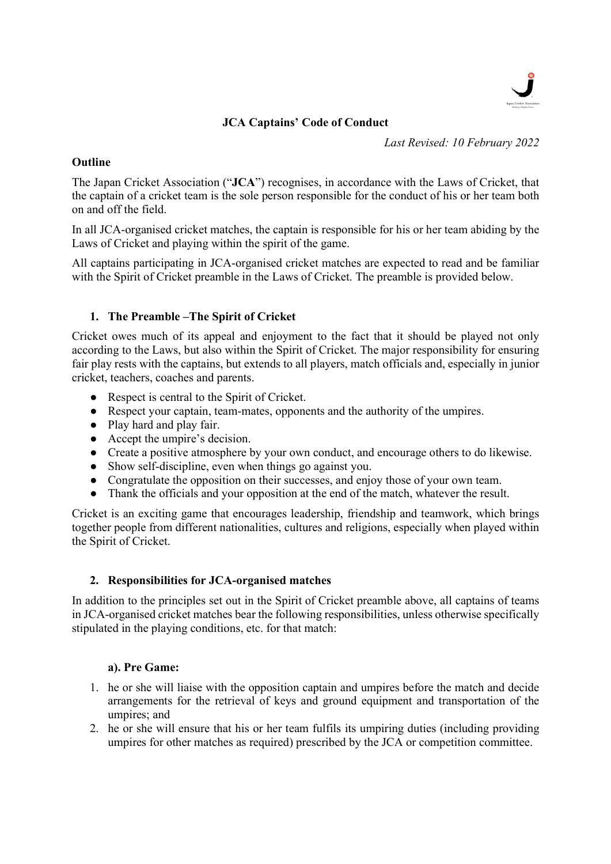

# JCA Captains' Code of Conduct

Last Revised: 10 February 2022

## **Outline**

The Japan Cricket Association ("JCA") recognises, in accordance with the Laws of Cricket, that the captain of a cricket team is the sole person responsible for the conduct of his or her team both on and off the field.

In all JCA-organised cricket matches, the captain is responsible for his or her team abiding by the Laws of Cricket and playing within the spirit of the game.

All captains participating in JCA-organised cricket matches are expected to read and be familiar with the Spirit of Cricket preamble in the Laws of Cricket. The preamble is provided below.

# 1. The Preamble –The Spirit of Cricket

Cricket owes much of its appeal and enjoyment to the fact that it should be played not only according to the Laws, but also within the Spirit of Cricket. The major responsibility for ensuring fair play rests with the captains, but extends to all players, match officials and, especially in junior cricket, teachers, coaches and parents.

- Respect is central to the Spirit of Cricket.
- Respect your captain, team-mates, opponents and the authority of the umpires.
- Play hard and play fair.
- Accept the umpire's decision.
- Create a positive atmosphere by your own conduct, and encourage others to do likewise.
- Show self-discipline, even when things go against you.
- Congratulate the opposition on their successes, and enjoy those of your own team.
- Thank the officials and your opposition at the end of the match, whatever the result.

Cricket is an exciting game that encourages leadership, friendship and teamwork, which brings together people from different nationalities, cultures and religions, especially when played within the Spirit of Cricket.

#### 2. Responsibilities for JCA-organised matches

In addition to the principles set out in the Spirit of Cricket preamble above, all captains of teams in JCA-organised cricket matches bear the following responsibilities, unless otherwise specifically stipulated in the playing conditions, etc. for that match:

#### a). Pre Game:

- 1. he or she will liaise with the opposition captain and umpires before the match and decide arrangements for the retrieval of keys and ground equipment and transportation of the umpires; and
- 2. he or she will ensure that his or her team fulfils its umpiring duties (including providing umpires for other matches as required) prescribed by the JCA or competition committee.